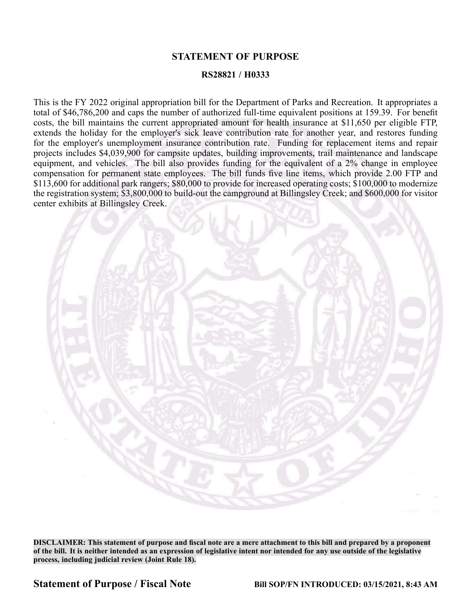## **STATEMENT OF PURPOSE**

## **RS28821 / H0333**

This is the FY 2022 original appropriation bill for the Department of Parks and Recreation. It appropriates <sup>a</sup> total of \$46,786,200 and caps the number of authorized full-time equivalent positions at 159.39. For benefit costs, the bill maintains the current appropriated amount for health insurance at \$11,650 per eligible FTP, extends the holiday for the employer's sick leave contribution rate for another year, and restores funding for the employer's unemployment insurance contribution rate. Funding for replacement items and repair projects includes \$4,039,900 for campsite updates, building improvements, trail maintenance and landscape equipment, and vehicles. The bill also provides funding for the equivalent of a 2% change in employee compensation for permanen<sup>t</sup> state employees. The bill funds five line items, which provide 2.00 FTP and \$113,600 for additional park rangers; \$80,000 to provide for increased operating costs; \$100,000 to modernize the registration system; \$3,800,000 to build-out the campground at Billingsley Creek; and \$600,000 for visitor center exhibits at Billingsley Creek.



DISCLAIMER: This statement of purpose and fiscal note are a mere attachment to this bill and prepared by a proponent of the bill. It is neither intended as an expression of legislative intent nor intended for any use outside of the legislative **process, including judicial review (Joint Rule 18).**